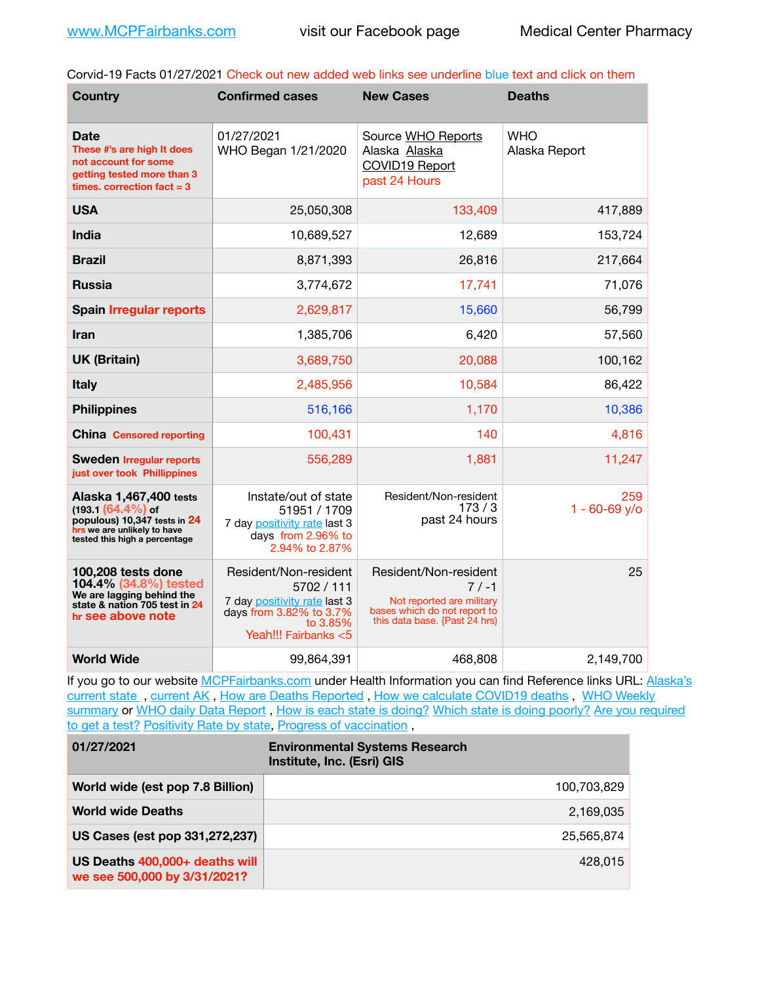Corvid-19 Facts 01/27/2021 Check out new added web links see underline blue text and click on them

| <b>Country</b>                                                                                                                                 | <b>Confirmed cases</b>                                                                                                             | <b>New Cases</b>                                                                                                               | <b>Deaths</b>               |
|------------------------------------------------------------------------------------------------------------------------------------------------|------------------------------------------------------------------------------------------------------------------------------------|--------------------------------------------------------------------------------------------------------------------------------|-----------------------------|
| Date<br>These #'s are high It does<br>not account for some<br>getting tested more than 3<br>times, correction $fact = 3$                       | 01/27/2021<br>WHO Began 1/21/2020                                                                                                  | Source WHO Reports<br>Alaska Alaska<br>COVID19 Report<br>past 24 Hours                                                         | <b>WHO</b><br>Alaska Report |
| <b>USA</b>                                                                                                                                     | 25,050,308                                                                                                                         | 133,409                                                                                                                        | 417,889                     |
| <b>India</b>                                                                                                                                   | 10,689,527                                                                                                                         | 12,689                                                                                                                         | 153,724                     |
| <b>Brazil</b>                                                                                                                                  | 8,871,393                                                                                                                          | 26,816                                                                                                                         | 217,664                     |
| <b>Russia</b>                                                                                                                                  | 3,774,672                                                                                                                          | 17,741                                                                                                                         | 71,076                      |
| <b>Spain Irregular reports</b>                                                                                                                 | 2,629,817                                                                                                                          | 15,660                                                                                                                         | 56,799                      |
| Iran                                                                                                                                           | 1,385,706                                                                                                                          | 6,420                                                                                                                          | 57,560                      |
| <b>UK (Britain)</b>                                                                                                                            | 3,689,750                                                                                                                          | 20,088                                                                                                                         | 100,162                     |
| <b>Italy</b>                                                                                                                                   | 2,485,956                                                                                                                          | 10,584                                                                                                                         | 86,422                      |
| <b>Philippines</b>                                                                                                                             | 516,166                                                                                                                            | 1,170                                                                                                                          | 10,386                      |
| <b>China</b> Censored reporting                                                                                                                | 100,431                                                                                                                            | 140                                                                                                                            | 4,816                       |
| <b>Sweden Irregular reports</b><br>just over took Phillippines                                                                                 | 556,289                                                                                                                            | 1,881                                                                                                                          | 11,247                      |
| Alaska 1,467,400 tests<br>$(193.1 (64.4\%)$ of<br>populous) 10,347 tests in 24<br>hrs we are unlikely to have<br>tested this high a percentage | Instate/out of state<br>51951 / 1709<br>7 day positivity rate last 3<br>days from 2.96% to<br>2.94% to 2.87%                       | Resident/Non-resident<br>173/3<br>past 24 hours                                                                                | 259<br>$1 - 60 - 69$ y/o    |
| 100,208 tests done<br>104.4% (34.8%) tested<br>We are lagging behind the<br>state & nation 705 test in 24<br>hr see above note                 | Resident/Non-resident<br>5702 / 111<br>7 day positivity rate last 3<br>days from 3.82% to 3.7%<br>to 3.85%<br>Yeah!!! Fairbanks <5 | Resident/Non-resident<br>$7/ -1$<br>Not reported are military<br>bases which do not report to<br>this data base. {Past 24 hrs) | 25                          |
| <b>World Wide</b>                                                                                                                              | 99,864,391                                                                                                                         | 468,808                                                                                                                        | 2,149,700                   |

If you go to our website [MCPFairbanks.com](http://www.MCPFairbanks.com) under Health Information you can find Reference links URL: Alaska's current state, current AK, [How are Deaths Reported](http://dhss.alaska.gov/dph/Epi/id/Pages/COVID-19/deathcounts.aspx), [How we calculate COVID19 deaths](https://coronavirus-response-alaska-dhss.hub.arcgis.com/search?collection=Document&groupIds=41ccb3344ebc4bd682c74073eba21f42), WHO Weekly [summary](http://www.who.int) or [WHO daily Data Report](https://covid19.who.int/table), [How is each state is doing?](https://www.msn.com/en-us/news/us/state-by-state-coronavirus-news/ar-BB13E1PX?fbclid=IwAR0_OBJH7lSyTN3ug_MsOeFnNgB1orTa9OBgilKJ7dhnwlVvHEsptuKkj1c) [Which state is doing poorly?](https://bestlifeonline.com/covid-outbreak-your-state/?utm_source=nsltr&utm_medium=email&utm_content=covid-outbreak-your-state&utm_campaign=launch) Are you required [to get a test?](http://dhss.alaska.gov/dph/Epi/id/SiteAssets/Pages/HumanCoV/Whattodoafteryourtest.pdf) [Positivity Rate by state](https://coronavirus.jhu.edu/testing/individual-states/alaska), [Progress of vaccination](https://covid.cdc.gov/covid-data-tracker/#vaccinations),

| 01/27/2021                                                     | <b>Environmental Systems Research</b><br>Institute, Inc. (Esri) GIS |
|----------------------------------------------------------------|---------------------------------------------------------------------|
| World wide (est pop 7.8 Billion)                               | 100,703,829                                                         |
| <b>World wide Deaths</b>                                       | 2.169.035                                                           |
| US Cases (est pop 331,272,237)                                 | 25.565.874                                                          |
| US Deaths 400,000+ deaths will<br>we see 500,000 by 3/31/2021? | 428.015                                                             |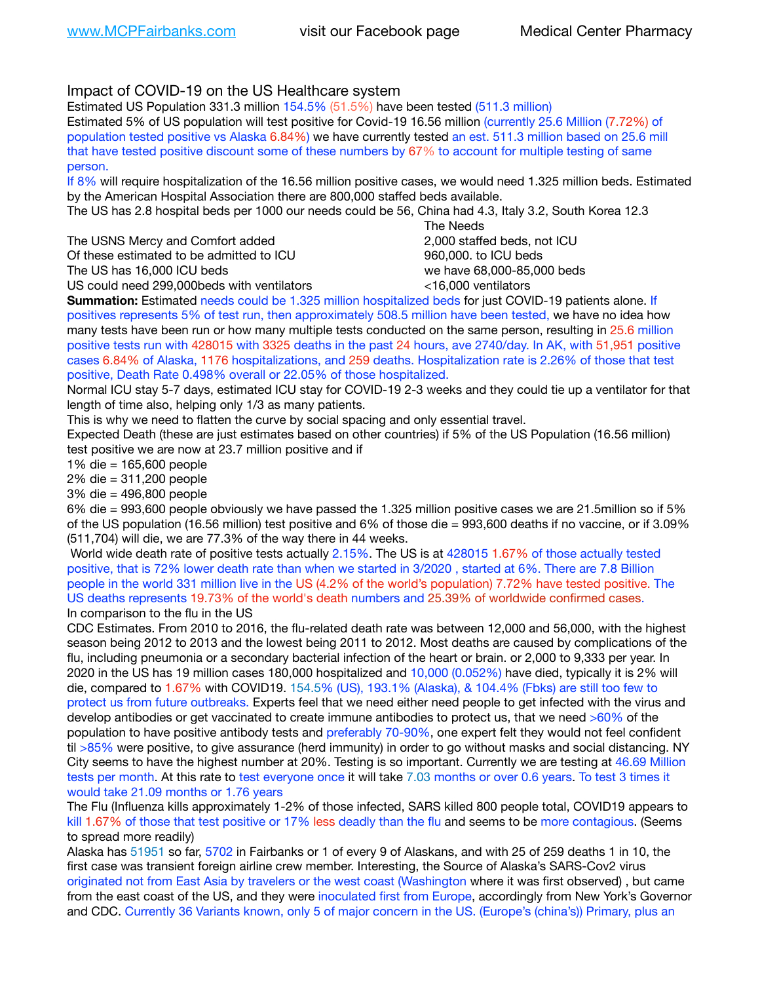## Impact of COVID-19 on the US Healthcare system

Estimated US Population 331.3 million 154.5% (51.5%) have been tested (511.3 million)

Estimated 5% of US population will test positive for Covid-19 16.56 million (currently 25.6 Million (7.72%) of population tested positive vs Alaska 6.84%) we have currently tested an est. 511.3 million based on 25.6 mill that have tested positive discount some of these numbers by 67% to account for multiple testing of same person.

If 8% will require hospitalization of the 16.56 million positive cases, we would need 1.325 million beds. Estimated by the American Hospital Association there are 800,000 staffed beds available.

The US has 2.8 hospital beds per 1000 our needs could be 56, China had 4.3, Italy 3.2, South Korea 12.3

The USNS Mercy and Comfort added **8.2000** staffed beds, not ICU Of these estimated to be admitted to ICU 960,000, to ICU beds The US has 16,000 ICU beds we have 68,000-85,000 beds US could need 299,000 beds with ventilators  $\leq 16,000$  ventilators

 The Needs

**Summation:** Estimated needs could be 1.325 million hospitalized beds for just COVID-19 patients alone. If positives represents 5% of test run, then approximately 508.5 million have been tested, we have no idea how many tests have been run or how many multiple tests conducted on the same person, resulting in 25.6 million positive tests run with 428015 with 3325 deaths in the past 24 hours, ave 2740/day. In AK, with 51,951 positive cases 6.84% of Alaska, 1176 hospitalizations, and 259 deaths. Hospitalization rate is 2.26% of those that test positive, Death Rate 0.498% overall or 22.05% of those hospitalized.

Normal ICU stay 5-7 days, estimated ICU stay for COVID-19 2-3 weeks and they could tie up a ventilator for that length of time also, helping only 1/3 as many patients.

This is why we need to flatten the curve by social spacing and only essential travel.

Expected Death (these are just estimates based on other countries) if 5% of the US Population (16.56 million) test positive we are now at 23.7 million positive and if

1% die = 165,600 people

2% die = 311,200 people

3% die = 496,800 people

6% die = 993,600 people obviously we have passed the 1.325 million positive cases we are 21.5million so if 5% of the US population (16.56 million) test positive and 6% of those die = 993,600 deaths if no vaccine, or if 3.09% (511,704) will die, we are 77.3% of the way there in 44 weeks.

 World wide death rate of positive tests actually 2.15%. The US is at 428015 1.67% of those actually tested positive, that is 72% lower death rate than when we started in 3/2020 , started at 6%. There are 7.8 Billion people in the world 331 million live in the US (4.2% of the world's population) 7.72% have tested positive. The US deaths represents 19.73% of the world's death numbers and 25.39% of worldwide confirmed cases. In comparison to the flu in the US

CDC Estimates. From 2010 to 2016, the flu-related death rate was between 12,000 and 56,000, with the highest season being 2012 to 2013 and the lowest being 2011 to 2012. Most deaths are caused by complications of the flu, including pneumonia or a secondary bacterial infection of the heart or brain. or 2,000 to 9,333 per year. In 2020 in the US has 19 million cases 180,000 hospitalized and 10,000 (0.052%) have died, typically it is 2% will die, compared to 1.67% with COVID19. 154.5% (US), 193.1% (Alaska), & 104.4% (Fbks) are still too few to protect us from future outbreaks. Experts feel that we need either need people to get infected with the virus and develop antibodies or get vaccinated to create immune antibodies to protect us, that we need >60% of the population to have positive antibody tests and preferably 70-90%, one expert felt they would not feel confident til >85% were positive, to give assurance (herd immunity) in order to go without masks and social distancing. NY City seems to have the highest number at 20%. Testing is so important. Currently we are testing at 46.69 Million tests per month. At this rate to test everyone once it will take 7.03 months or over 0.6 years. To test 3 times it would take 21.09 months or 1.76 years

The Flu (Influenza kills approximately 1-2% of those infected, SARS killed 800 people total, COVID19 appears to kill 1.67% of those that test positive or 17% less deadly than the flu and seems to be more contagious. (Seems to spread more readily)

Alaska has 51951 so far, 5702 in Fairbanks or 1 of every 9 of Alaskans, and with 25 of 259 deaths 1 in 10, the first case was transient foreign airline crew member. Interesting, the Source of Alaska's SARS-Cov2 virus originated not from East Asia by travelers or the west coast (Washington where it was first observed) , but came from the east coast of the US, and they were inoculated first from Europe, accordingly from New York's Governor and CDC. Currently 36 Variants known, only 5 of major concern in the US. (Europe's (china's)) Primary, plus an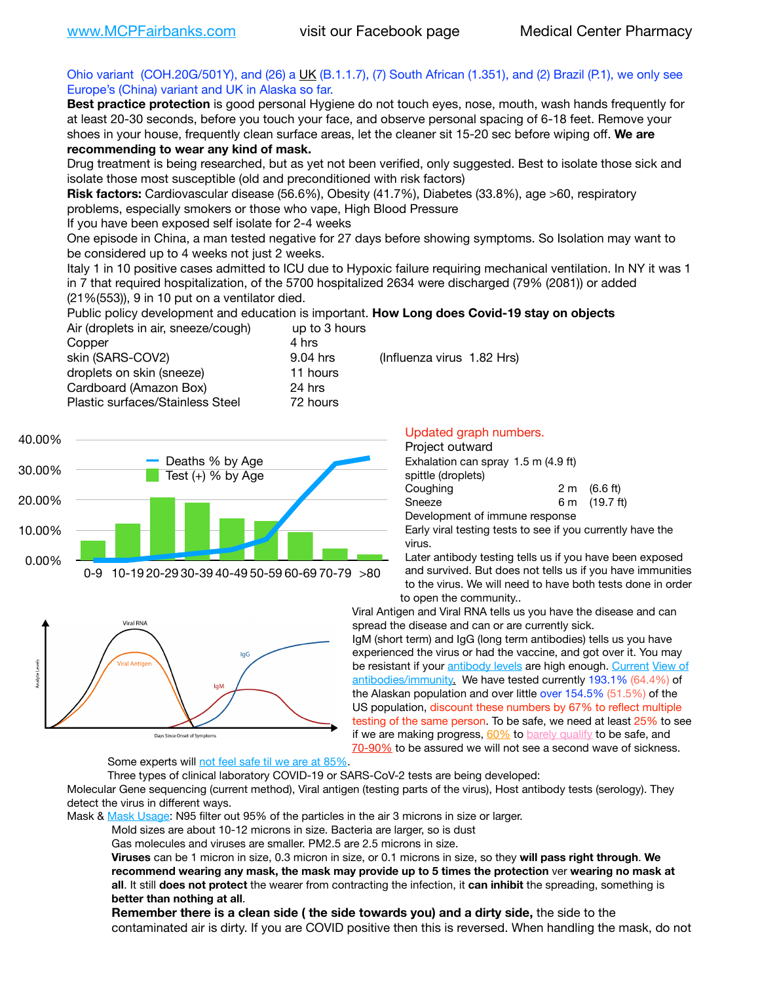### Ohio variant (COH.20G/501Y), and (26) a  $\underline{\mathsf{UK}}$  (B.1.1.7), (7) South African (1.351), and (2) Brazil (P.1), we only see Europe's (China) variant and UK in Alaska so far.

**Best practice protection** is good personal Hygiene do not touch eyes, nose, mouth, wash hands frequently for at least 20-30 seconds, before you touch your face, and observe personal spacing of 6-18 feet. Remove your shoes in your house, frequently clean surface areas, let the cleaner sit 15-20 sec before wiping off. **We are recommending to wear any kind of mask.**

Drug treatment is being researched, but as yet not been verified, only suggested. Best to isolate those sick and isolate those most susceptible (old and preconditioned with risk factors)

**Risk factors:** Cardiovascular disease (56.6%), Obesity (41.7%), Diabetes (33.8%), age >60, respiratory problems, especially smokers or those who vape, High Blood Pressure

If you have been exposed self isolate for 2-4 weeks

One episode in China, a man tested negative for 27 days before showing symptoms. So Isolation may want to be considered up to 4 weeks not just 2 weeks.

Italy 1 in 10 positive cases admitted to ICU due to Hypoxic failure requiring mechanical ventilation. In NY it was 1 in 7 that required hospitalization, of the 5700 hospitalized 2634 were discharged (79% (2081)) or added (21%(553)), 9 in 10 put on a ventilator died.

Public policy development and education is important. **How Long does Covid-19 stay on objects** Air (droplets in air, sneeze/cough) up to 3 hours

| Copper                           | 4 hrs    |                            |  |
|----------------------------------|----------|----------------------------|--|
| skin (SARS-COV2)                 | 9.04 hrs | (Influenza virus 1.82 Hrs) |  |
| droplets on skin (sneeze)        | 11 hours |                            |  |
| Cardboard (Amazon Box)           | 24 hrs   |                            |  |
| Plastic surfaces/Stainless Steel | 72 hours |                            |  |





Updated graph numbers.

| Project outward                     |  |                        |
|-------------------------------------|--|------------------------|
| Exhalation can spray 1.5 m (4.9 ft) |  |                        |
| spittle (droplets)                  |  |                        |
| Coughing                            |  | $2 \text{ m}$ (6.6 ft) |
| Sneeze                              |  | 6 m (19.7 ft)          |
| Development of immune response      |  |                        |

Early viral testing tests to see if you currently have the virus.

Later antibody testing tells us if you have been exposed and survived. But does not tells us if you have immunities to the virus. We will need to have both tests done in order to open the community..

Viral Antigen and Viral RNA tells us you have the disease and can spread the disease and can or are currently sick.

IgM (short term) and IgG (long term antibodies) tells us you have experienced the virus or had the vaccine, and got over it. You may be resistant if your [antibody levels](https://www.cdc.gov/coronavirus/2019-ncov/lab/resources/antibody-tests.html) are high enough. [Current](https://l.facebook.com/l.php?u=https://www.itv.com/news/2020-10-26/covid-19-antibody-levels-reduce-over-time-study-finds?fbclid=IwAR3Dapzh1qIH1EIOdUQI2y8THf7jfA4KBCaJz8Qg-8xe1YsrR4nsAHDIXSY&h=AT30nut8pkqp0heVuz5W2rT2WFFm-2Ab52BsJxZZCNlGsX58IpPkuVEPULbIUV_M16MAukx1Kwb657DPXxsgDN1rpOQ4gqBtQsmVYiWpnHPJo2RQsU6CPMd14lgLnQnFWxfVi6zvmw&__tn__=-UK-R&c%5B0%5D=AT1GaRAfR_nGAyqcn7TI1-PpvqOqEKXHnz6TDWvRStMnOSH7boQDvTiwTOc6VId9UES6LKiOmm2m88wKCoolkJyOFvakt2Z1Mw8toYWGGoWW23r0MNVBl7cYJXB_UOvGklNHaNnaNr1_S7NhT3BSykNOBg) View of [antibodies/immunity](https://www.livescience.com/antibodies.html)[.](https://www.itv.com/news/2020-10-26/covid-19-antibody-levels-reduce-over-time-study-finds) We have tested currently 193.1% (64.4%) of the Alaskan population and over little over 154.5% (51.5%) of the US population, discount these numbers by 67% to reflect multiple testing of the same person. To be safe, we need at least 25% to see if we are making progress,  $60\%$  to [barely qualify](https://www.nature.com/articles/d41586-020-02948-4) to be safe, and [70-90%](https://www.mayoclinic.org/herd-immunity-and-coronavirus/art-20486808) to be assured we will not see a second wave of sickness.

Some experts will [not feel safe til we are at 85%.](https://www.bannerhealth.com/healthcareblog/teach-me/what-is-herd-immunity)

Three types of clinical laboratory COVID-19 or SARS-CoV-2 tests are being developed:

Molecular Gene sequencing (current method), Viral antigen (testing parts of the virus), Host antibody tests (serology). They detect the virus in different ways.

Mask & [Mask Usage:](https://www.nationalgeographic.com/history/2020/03/how-cities-flattened-curve-1918-spanish-flu-pandemic-coronavirus/) N95 filter out 95% of the particles in the air 3 microns in size or larger.

Mold sizes are about 10-12 microns in size. Bacteria are larger, so is dust

Gas molecules and viruses are smaller. PM2.5 are 2.5 microns in size.

**Viruses** can be 1 micron in size, 0.3 micron in size, or 0.1 microns in size, so they **will pass right through**. **We recommend wearing any mask, the mask may provide up to 5 times the protection** ver **wearing no mask at all**. It still **does not protect** the wearer from contracting the infection, it **can inhibit** the spreading, something is **better than nothing at all**.

**Remember there is a clean side ( the side towards you) and a dirty side,** the side to the contaminated air is dirty. If you are COVID positive then this is reversed. When handling the mask, do not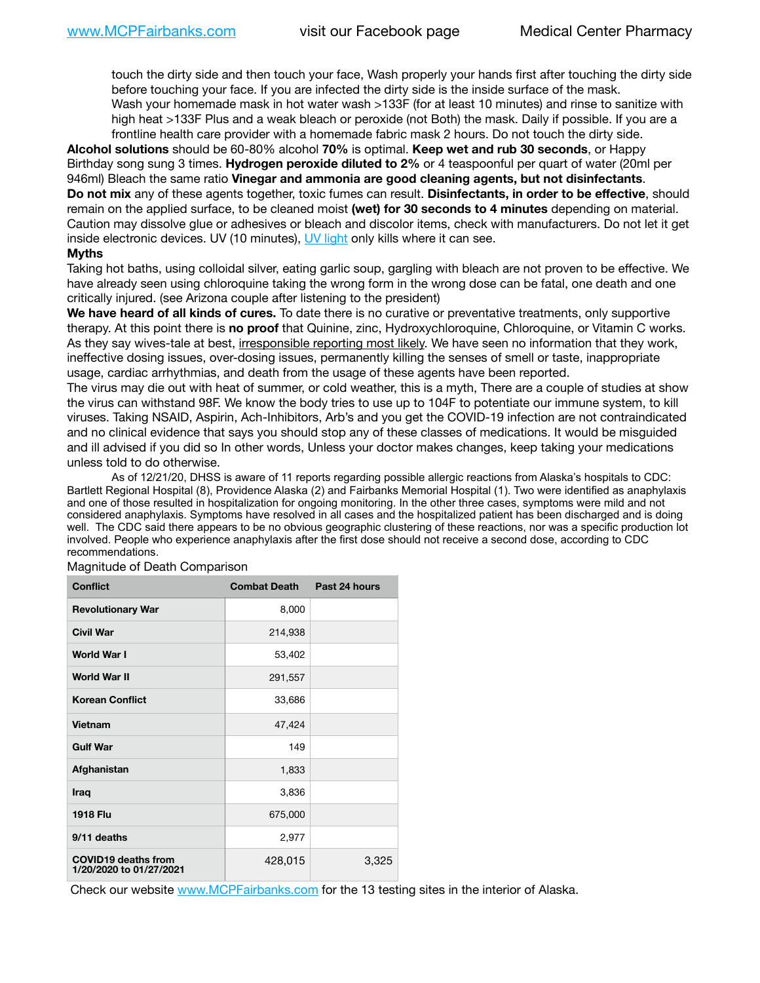touch the dirty side and then touch your face, Wash properly your hands first after touching the dirty side before touching your face. If you are infected the dirty side is the inside surface of the mask. Wash your homemade mask in hot water wash >133F (for at least 10 minutes) and rinse to sanitize with high heat >133F Plus and a weak bleach or peroxide (not Both) the mask. Daily if possible. If you are a frontline health care provider with a homemade fabric mask 2 hours. Do not touch the dirty side.

**Alcohol solutions** should be 60-80% alcohol **70%** is optimal. **Keep wet and rub 30 seconds**, or Happy Birthday song sung 3 times. **Hydrogen peroxide diluted to 2%** or 4 teaspoonful per quart of water (20ml per 946ml) Bleach the same ratio **Vinegar and ammonia are good cleaning agents, but not disinfectants**. **Do not mix** any of these agents together, toxic fumes can result. **Disinfectants, in order to be effective**, should remain on the applied surface, to be cleaned moist **(wet) for 30 seconds to 4 minutes** depending on material. Caution may dissolve glue or adhesives or bleach and discolor items, check with manufacturers. Do not let it get inside electronic devices. UV (10 minutes), [UV light](http://www.docreviews.me/best-uv-boxes-2020/?fbclid=IwAR3bvFtXB48OoBBSvYvTEnKuHNPbipxM6jUo82QUSw9wckxjC7wwRZWabGw) only kills where it can see.

#### **Myths**

Taking hot baths, using colloidal silver, eating garlic soup, gargling with bleach are not proven to be effective. We have already seen using chloroquine taking the wrong form in the wrong dose can be fatal, one death and one critically injured. (see Arizona couple after listening to the president)

**We have heard of all kinds of cures.** To date there is no curative or preventative treatments, only supportive therapy. At this point there is **no proof** that Quinine, zinc, Hydroxychloroquine, Chloroquine, or Vitamin C works. As they say wives-tale at best, irresponsible reporting most likely. We have seen no information that they work, ineffective dosing issues, over-dosing issues, permanently killing the senses of smell or taste, inappropriate usage, cardiac arrhythmias, and death from the usage of these agents have been reported.

The virus may die out with heat of summer, or cold weather, this is a myth, There are a couple of studies at show the virus can withstand 98F. We know the body tries to use up to 104F to potentiate our immune system, to kill viruses. Taking NSAID, Aspirin, Ach-Inhibitors, Arb's and you get the COVID-19 infection are not contraindicated and no clinical evidence that says you should stop any of these classes of medications. It would be misguided and ill advised if you did so In other words, Unless your doctor makes changes, keep taking your medications unless told to do otherwise.

As of 12/21/20, DHSS is aware of 11 reports regarding possible allergic reactions from Alaska's hospitals to CDC: Bartlett Regional Hospital (8), Providence Alaska (2) and Fairbanks Memorial Hospital (1). Two were identified as anaphylaxis and one of those resulted in hospitalization for ongoing monitoring. In the other three cases, symptoms were mild and not considered anaphylaxis. Symptoms have resolved in all cases and the hospitalized patient has been discharged and is doing well. The CDC said there appears to be no obvious geographic clustering of these reactions, nor was a specific production lot involved. People who experience anaphylaxis after the first dose should not receive a second dose, according to CDC recommendations.

| <b>Conflict</b>                                       | <b>Combat Death</b> | Past 24 hours |
|-------------------------------------------------------|---------------------|---------------|
| <b>Revolutionary War</b>                              | 8,000               |               |
| <b>Civil War</b>                                      | 214,938             |               |
| World War I                                           | 53,402              |               |
| <b>World War II</b>                                   | 291,557             |               |
| <b>Korean Conflict</b>                                | 33,686              |               |
| Vietnam                                               | 47,424              |               |
| <b>Gulf War</b>                                       | 149                 |               |
| Afghanistan                                           | 1,833               |               |
| Iraq                                                  | 3,836               |               |
| <b>1918 Flu</b>                                       | 675,000             |               |
| 9/11 deaths                                           | 2,977               |               |
| <b>COVID19 deaths from</b><br>1/20/2020 to 01/27/2021 | 428,015             | 3,325         |

Magnitude of Death Comparison

Check our website [www.MCPFairbanks.com](http://www.MCPFairbanks.com) for the 13 testing sites in the interior of Alaska.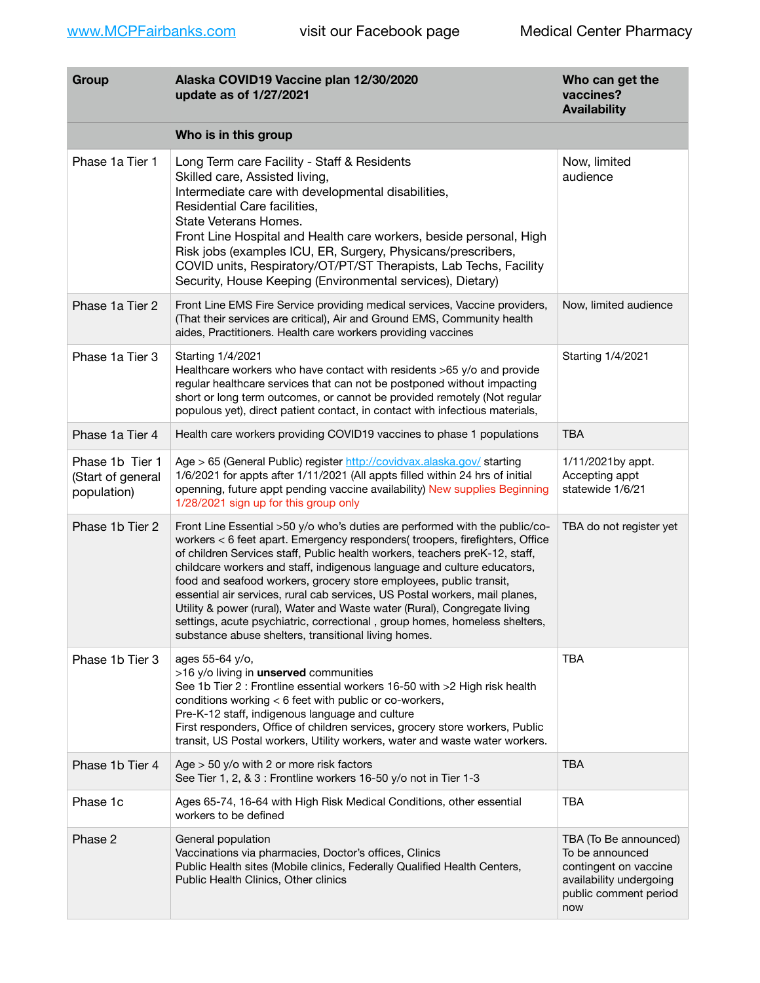| Group                                               | Alaska COVID19 Vaccine plan 12/30/2020<br>update as of 1/27/2021                                                                                                                                                                                                                                                                                                                                                                                                                                                                                                                                                                                                                              | Who can get the<br>vaccines?<br><b>Availability</b>                                                                          |
|-----------------------------------------------------|-----------------------------------------------------------------------------------------------------------------------------------------------------------------------------------------------------------------------------------------------------------------------------------------------------------------------------------------------------------------------------------------------------------------------------------------------------------------------------------------------------------------------------------------------------------------------------------------------------------------------------------------------------------------------------------------------|------------------------------------------------------------------------------------------------------------------------------|
|                                                     | Who is in this group                                                                                                                                                                                                                                                                                                                                                                                                                                                                                                                                                                                                                                                                          |                                                                                                                              |
| Phase 1a Tier 1                                     | Long Term care Facility - Staff & Residents<br>Skilled care, Assisted living,<br>Intermediate care with developmental disabilities,<br>Residential Care facilities,<br>State Veterans Homes.<br>Front Line Hospital and Health care workers, beside personal, High<br>Risk jobs (examples ICU, ER, Surgery, Physicans/prescribers,<br>COVID units, Respiratory/OT/PT/ST Therapists, Lab Techs, Facility<br>Security, House Keeping (Environmental services), Dietary)                                                                                                                                                                                                                         | Now, limited<br>audience                                                                                                     |
| Phase 1a Tier 2                                     | Front Line EMS Fire Service providing medical services, Vaccine providers,<br>(That their services are critical), Air and Ground EMS, Community health<br>aides, Practitioners. Health care workers providing vaccines                                                                                                                                                                                                                                                                                                                                                                                                                                                                        | Now, limited audience                                                                                                        |
| Phase 1a Tier 3                                     | Starting 1/4/2021<br>Healthcare workers who have contact with residents >65 y/o and provide<br>regular healthcare services that can not be postponed without impacting<br>short or long term outcomes, or cannot be provided remotely (Not regular<br>populous yet), direct patient contact, in contact with infectious materials,                                                                                                                                                                                                                                                                                                                                                            | Starting 1/4/2021                                                                                                            |
| Phase 1a Tier 4                                     | Health care workers providing COVID19 vaccines to phase 1 populations                                                                                                                                                                                                                                                                                                                                                                                                                                                                                                                                                                                                                         | <b>TBA</b>                                                                                                                   |
| Phase 1b Tier 1<br>(Start of general<br>population) | Age > 65 (General Public) register http://covidvax.alaska.gov/ starting<br>1/6/2021 for appts after 1/11/2021 (All appts filled within 24 hrs of initial<br>openning, future appt pending vaccine availability) New supplies Beginning<br>1/28/2021 sign up for this group only                                                                                                                                                                                                                                                                                                                                                                                                               | 1/11/2021by appt.<br>Accepting appt<br>statewide 1/6/21                                                                      |
| Phase 1b Tier 2                                     | Front Line Essential >50 y/o who's duties are performed with the public/co-<br>workers < 6 feet apart. Emergency responders( troopers, firefighters, Office<br>of children Services staff, Public health workers, teachers preK-12, staff,<br>childcare workers and staff, indigenous language and culture educators,<br>food and seafood workers, grocery store employees, public transit,<br>essential air services, rural cab services, US Postal workers, mail planes,<br>Utility & power (rural), Water and Waste water (Rural), Congregate living<br>settings, acute psychiatric, correctional, group homes, homeless shelters,<br>substance abuse shelters, transitional living homes. | TBA do not register yet                                                                                                      |
| Phase 1b Tier 3                                     | ages 55-64 y/o,<br>>16 y/o living in unserved communities<br>See 1b Tier 2 : Frontline essential workers 16-50 with >2 High risk health<br>conditions working < 6 feet with public or co-workers,<br>Pre-K-12 staff, indigenous language and culture<br>First responders, Office of children services, grocery store workers, Public<br>transit, US Postal workers, Utility workers, water and waste water workers.                                                                                                                                                                                                                                                                           | <b>TBA</b>                                                                                                                   |
| Phase 1b Tier 4                                     | Age $>$ 50 y/o with 2 or more risk factors<br>See Tier 1, 2, & 3 : Frontline workers 16-50 y/o not in Tier 1-3                                                                                                                                                                                                                                                                                                                                                                                                                                                                                                                                                                                | <b>TBA</b>                                                                                                                   |
| Phase 1c                                            | Ages 65-74, 16-64 with High Risk Medical Conditions, other essential<br>workers to be defined                                                                                                                                                                                                                                                                                                                                                                                                                                                                                                                                                                                                 | <b>TBA</b>                                                                                                                   |
| Phase 2                                             | General population<br>Vaccinations via pharmacies, Doctor's offices, Clinics<br>Public Health sites (Mobile clinics, Federally Qualified Health Centers,<br>Public Health Clinics, Other clinics                                                                                                                                                                                                                                                                                                                                                                                                                                                                                              | TBA (To Be announced)<br>To be announced<br>contingent on vaccine<br>availability undergoing<br>public comment period<br>now |